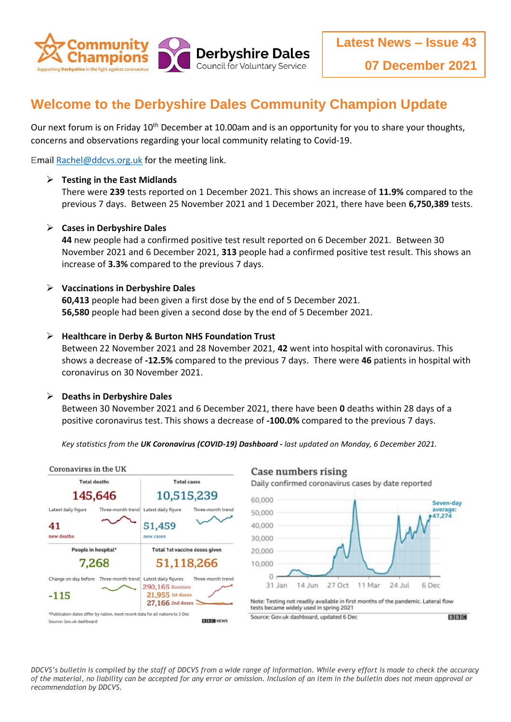

## **Welcome to the Derbyshire Dales Community Champion Update**

Our next forum is on Friday 10<sup>th</sup> December at 10.00am and is an opportunity for you to share your thoughts, concerns and observations regarding your local community relating to Covid-19.

Emai[l Rachel@ddcvs.org.uk](mailto:Rachel@ddcvs.org.uk) for the meeting link.

#### **Testing in the East Midlands**

There were **239** tests reported on 1 December 2021. This shows an increase of **11.9%** compared to the previous 7 days. Between 25 November 2021 and 1 December 2021, there have been **6,750,389** tests.

#### **Cases in Derbyshire Dales**

**44** new people had a confirmed positive test result reported on 6 December 2021. Between 30 November 2021 and 6 December 2021, **313** people had a confirmed positive test result. This shows an increase of **3.3%** compared to the previous 7 days.

#### **Vaccinations in Derbyshire Dales**

**60,413** people had been given a first dose by the end of 5 December 2021. **56,580** people had been given a second dose by the end of 5 December 2021.

#### **Healthcare in Derby & Burton NHS Foundation Trust**

Between 22 November 2021 and 28 November 2021, **42** went into hospital with coronavirus. This shows a decrease of **-12.5%** compared to the previous 7 days. There were **46** patients in hospital with coronavirus on 30 November 2021.

#### **Deaths in Derbyshire Dales**

Between 30 November 2021 and 6 December 2021, there have been **0** deaths within 28 days of a positive coronavirus test. This shows a decrease of **-100.0%** compared to the previous 7 days.

*Key statistics from the UK Coronavirus (COVID-19) Dashboard - last updated on Monday, 6 December 2021.*





*DDCVS's bulletin is compiled by the staff of DDCVS from a wide range of information. While every effort is made to check the accuracy of the material, no liability can be accepted for any error or omission. Inclusion of an item in the bulletin does not mean approval or recommendation by DDCVS.*